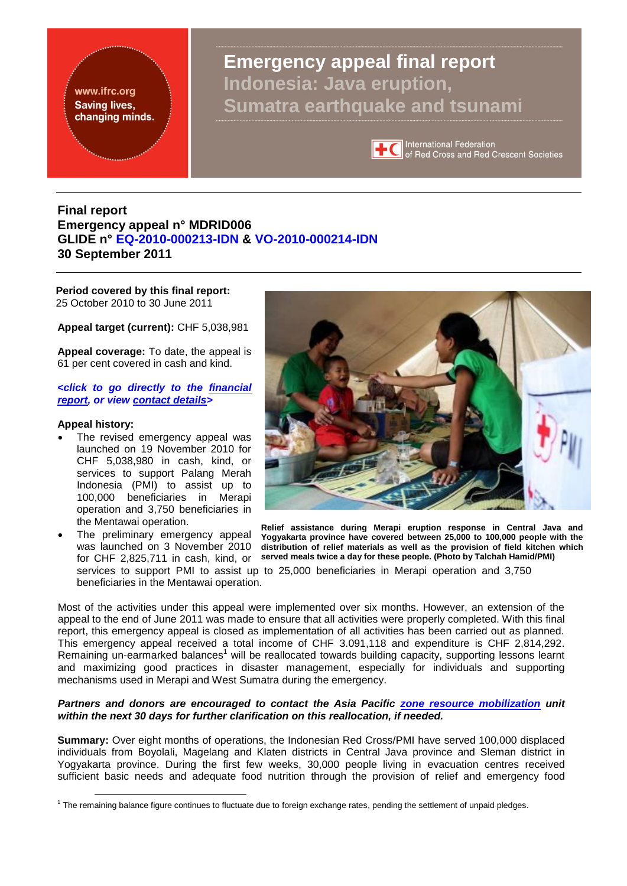<span id="page-0-0"></span>www.ifrc.org **Saving lives,** changing minds. **Emergency appeal final report Indonesia: Java eruption, Sumatra earthquake and tsunami**



International Federation of Red Cross and Red Crescent Societies

### **Final report Emergency appeal n° MDRID006 GLIDE n° [EQ-2010-000213-IDN](http://www.glidenumber.net/glide/public/search/details.jsp?glide=19233&record=10&last=237) & [VO-2010-000214-IDN](http://www.glidenumber.net/glide/public/search/details.jsp?glide=19234&record=9&last=237)  30 September 2011**

**Period covered by this final report:**  25 October 2010 to 30 June 2011

**Appeal target (current):** CHF 5,038,981

**Appeal coverage:** To date, the appeal is 61 per cent covered in cash and kind.

**<***click to go directly to the [financial](#page-14-0)  [report,](#page-14-0) or view [contact details>](#page-13-0)*

#### **Appeal history:**

1

- The revised emergency appeal was launched on 19 November 2010 for CHF 5,038,980 in cash, kind, or services to support Palang Merah Indonesia (PMI) to assist up to 100,000 beneficiaries in Merapi operation and 3,750 beneficiaries in the Mentawai operation.
- The preliminary emergency appeal was launched on 3 November 2010 for CHF 2,825,711 in cash, kind, or beneficiaries in the Mentawai operation.



**Relief assistance during Merapi eruption response in Central Java and Yogyakarta province have covered between 25,000 to 100,000 people with the distribution of relief materials as well as the provision of field kitchen which served meals twice a day for these people. (Photo by Talchah Hamid/PMI)**

services to support PMI to assist up to 25,000 beneficiaries in Merapi operation and 3,750

Most of the activities under this appeal were implemented over six months. However, an extension of the appeal to the end of June 2011 was made to ensure that all activities were properly completed. With this final report, this emergency appeal is closed as implementation of all activities has been carried out as planned. This emergency appeal received a total income of CHF 3.091,118 and expenditure is CHF 2,814,292. Remaining un-earmarked balances<sup>1</sup> will be reallocated towards building capacity, supporting lessons learnt and maximizing good practices in disaster management, especially for individuals and supporting mechanisms used in Merapi and West Sumatra during the emergency.

#### *Partners and donors are encouraged to contact the Asia Pacific [zone resource mobilization](mailto:zonerm.asiapacific@ifrc.org) unit within the next 30 days for further clarification on this reallocation, if needed.*

**Summary:** Over eight months of operations, the Indonesian Red Cross/PMI have served 100,000 displaced individuals from Boyolali, Magelang and Klaten districts in Central Java province and Sleman district in Yogyakarta province. During the first few weeks, 30,000 people living in evacuation centres received sufficient basic needs and adequate food nutrition through the provision of relief and emergency food

<sup>&</sup>lt;sup>1</sup> The remaining balance figure continues to fluctuate due to foreign exchange rates, pending the settlement of unpaid pledges.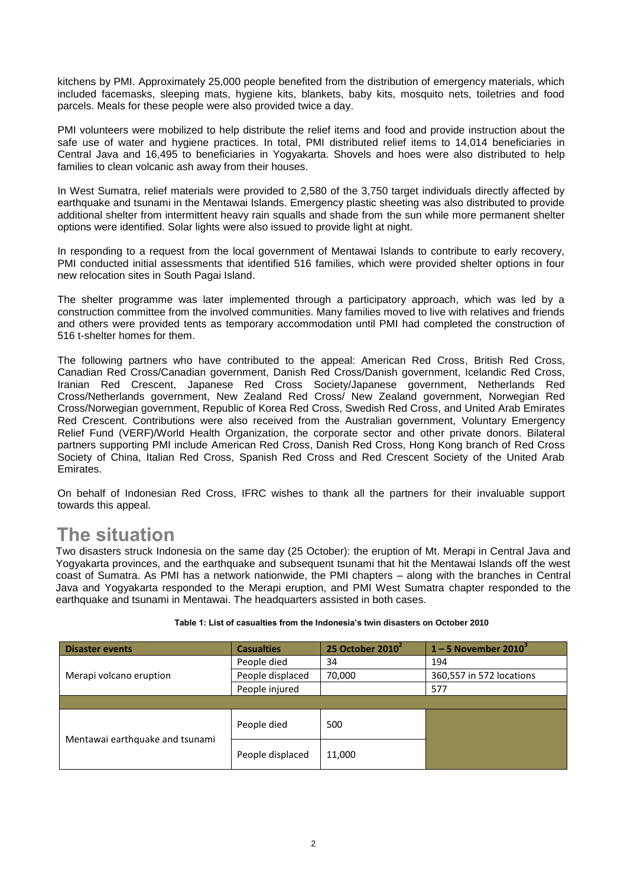kitchens by PMI. Approximately 25,000 people benefited from the distribution of emergency materials, which included facemasks, sleeping mats, hygiene kits, blankets, baby kits, mosquito nets, toiletries and food parcels. Meals for these people were also provided twice a day.

PMI volunteers were mobilized to help distribute the relief items and food and provide instruction about the safe use of water and hygiene practices. In total, PMI distributed relief items to 14,014 beneficiaries in Central Java and 16,495 to beneficiaries in Yogyakarta. Shovels and hoes were also distributed to help families to clean volcanic ash away from their houses.

In West Sumatra, relief materials were provided to 2,580 of the 3,750 target individuals directly affected by earthquake and tsunami in the Mentawai Islands. Emergency plastic sheeting was also distributed to provide additional shelter from intermittent heavy rain squalls and shade from the sun while more permanent shelter options were identified. Solar lights were also issued to provide light at night.

In responding to a request from the local government of Mentawai Islands to contribute to early recovery, PMI conducted initial assessments that identified 516 families, which were provided shelter options in four new relocation sites in South Pagai Island.

The shelter programme was later implemented through a participatory approach, which was led by a construction committee from the involved communities. Many families moved to live with relatives and friends and others were provided tents as temporary accommodation until PMI had completed the construction of 516 t-shelter homes for them.

The following partners who have contributed to the appeal: American Red Cross, British Red Cross, Canadian Red Cross/Canadian government, Danish Red Cross/Danish government, Icelandic Red Cross, Iranian Red Crescent, Japanese Red Cross Society/Japanese government, Netherlands Red Cross/Netherlands government, New Zealand Red Cross/ New Zealand government, Norwegian Red Cross/Norwegian government, Republic of Korea Red Cross, Swedish Red Cross, and United Arab Emirates Red Crescent. Contributions were also received from the Australian government, Voluntary Emergency Relief Fund (VERF)/World Health Organization, the corporate sector and other private donors. Bilateral partners supporting PMI include American Red Cross, Danish Red Cross, Hong Kong branch of Red Cross Society of China, Italian Red Cross, Spanish Red Cross and Red Crescent Society of the United Arab Emirates.

On behalf of Indonesian Red Cross, IFRC wishes to thank all the partners for their invaluable support towards this appeal.

# **The situation**

Two disasters struck Indonesia on the same day (25 October): the eruption of Mt. Merapi in Central Java and Yogyakarta provinces, and the earthquake and subsequent tsunami that hit the Mentawai Islands off the west coast of Sumatra. As PMI has a network nationwide, the PMI chapters – along with the branches in Central Java and Yogyakarta responded to the Merapi eruption, and PMI West Sumatra chapter responded to the earthquake and tsunami in Mentawai. The headquarters assisted in both cases.

| <b>Disaster events</b>          | <b>Casualties</b> | 25 October 2010 <sup>2</sup> | $1 - 5$ November 2010 <sup>3</sup> |
|---------------------------------|-------------------|------------------------------|------------------------------------|
|                                 | People died       | 34                           | 194                                |
| Merapi volcano eruption         | People displaced  | 70,000                       | 360,557 in 572 locations           |
|                                 | People injured    |                              | 577                                |
|                                 |                   |                              |                                    |
| Mentawai earthquake and tsunami | People died       | 500                          |                                    |
|                                 | People displaced  | 11,000                       |                                    |

#### **Table 1: List of casualties from the Indonesia's twin disasters on October 2010**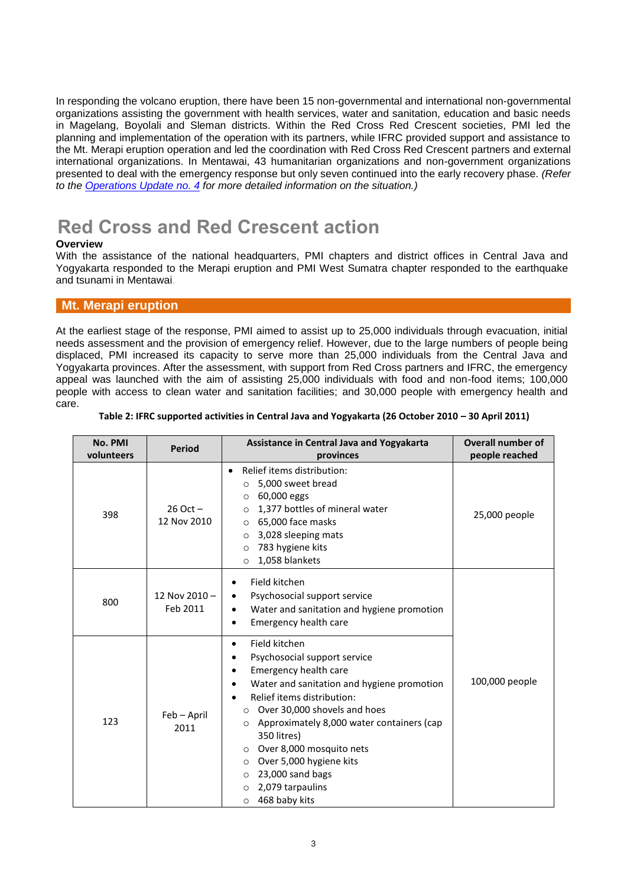In responding the volcano eruption, there have been 15 non-governmental and international non-governmental organizations assisting the government with health services, water and sanitation, education and basic needs in Magelang, Boyolali and Sleman districts. Within the Red Cross Red Crescent societies, PMI led the planning and implementation of the operation with its partners, while IFRC provided support and assistance to the Mt. Merapi eruption operation and led the coordination with Red Cross Red Crescent partners and external international organizations. In Mentawai, 43 humanitarian organizations and non-government organizations presented to deal with the emergency response but only seven continued into the early recovery phase. *(Refer to the [Operations Update no. 4](http://www.ifrc.org/docs/appeals/10/MDRID00604.pdf) for more detailed information on the situation.)*

# **Red Cross and Red Crescent action**

#### **Overview**

With the assistance of the national headquarters, PMI chapters and district offices in Central Java and Yogyakarta responded to the Merapi eruption and PMI West Sumatra chapter responded to the earthquake and tsunami in Mentawai.

#### **Mt. Merapi eruption**

At the earliest stage of the response, PMI aimed to assist up to 25,000 individuals through evacuation, initial needs assessment and the provision of emergency relief. However, due to the large numbers of people being displaced, PMI increased its capacity to serve more than 25,000 individuals from the Central Java and Yogyakarta provinces. After the assessment, with support from Red Cross partners and IFRC, the emergency appeal was launched with the aim of assisting 25,000 individuals with food and non-food items; 100,000 people with access to clean water and sanitation facilities; and 30,000 people with emergency health and care.

| No. PMI<br>volunteers | <b>Period</b>               | Assistance in Central Java and Yogyakarta<br>provinces                                                                                                                                                                                                                                                                                                                                                                                                 | <b>Overall number of</b><br>people reached |
|-----------------------|-----------------------------|--------------------------------------------------------------------------------------------------------------------------------------------------------------------------------------------------------------------------------------------------------------------------------------------------------------------------------------------------------------------------------------------------------------------------------------------------------|--------------------------------------------|
| 398                   | $26$ Oct $-$<br>12 Nov 2010 | Relief items distribution:<br>$\bullet$<br>5,000 sweet bread<br>$\circ$<br>60,000 eggs<br>$\circ$<br>1,377 bottles of mineral water<br>$\circ$<br>65,000 face masks<br>$\circ$<br>3,028 sleeping mats<br>$\circ$<br>783 hygiene kits<br>$\Omega$<br>1,058 blankets<br>$\circ$                                                                                                                                                                          | 25,000 people                              |
| 800                   | 12 Nov 2010-<br>Feb 2011    | Field kitchen<br>٠<br>Psychosocial support service<br>Water and sanitation and hygiene promotion<br><b>Emergency health care</b><br>٠                                                                                                                                                                                                                                                                                                                  |                                            |
| 123                   | Feb - April<br>2011         | Field kitchen<br>٠<br>Psychosocial support service<br>٠<br>Emergency health care<br>Water and sanitation and hygiene promotion<br>Relief items distribution:<br>Over 30,000 shovels and hoes<br>$\Omega$<br>Approximately 8,000 water containers (cap<br>$\circ$<br>350 litres)<br>Over 8,000 mosquito nets<br>$\circ$<br>Over 5,000 hygiene kits<br>$\circ$<br>23,000 sand bags<br>$\circ$<br>2,079 tarpaulins<br>$\circ$<br>468 baby kits<br>$\circ$ | 100,000 people                             |

#### **Table 2: IFRC supported activities in Central Java and Yogyakarta (26 October 2010 – 30 April 2011)**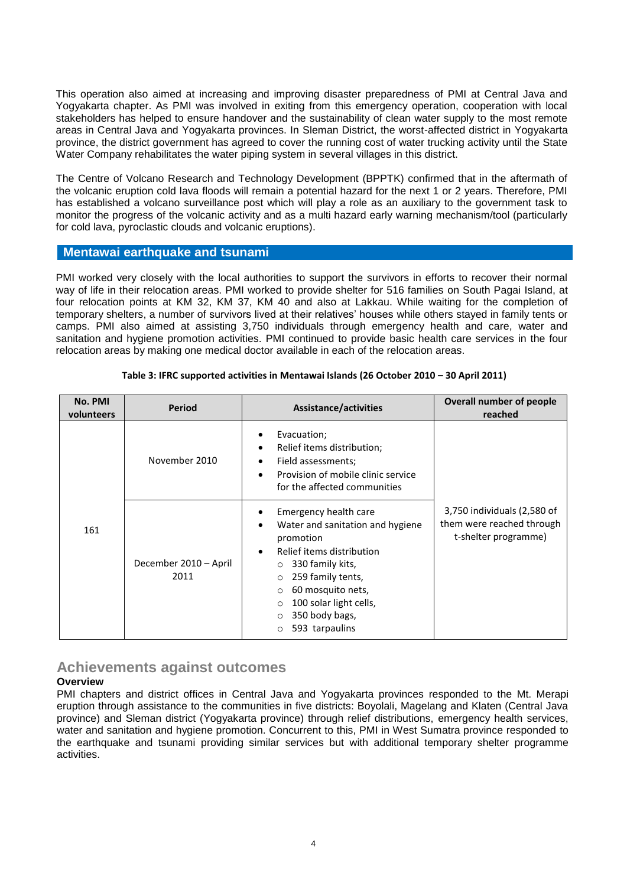This operation also aimed at increasing and improving disaster preparedness of PMI at Central Java and Yogyakarta chapter. As PMI was involved in exiting from this emergency operation, cooperation with local stakeholders has helped to ensure handover and the sustainability of clean water supply to the most remote areas in Central Java and Yogyakarta provinces. In Sleman District, the worst-affected district in Yogyakarta province, the district government has agreed to cover the running cost of water trucking activity until the State Water Company rehabilitates the water piping system in several villages in this district.

The Centre of Volcano Research and Technology Development (BPPTK) confirmed that in the aftermath of the volcanic eruption cold lava floods will remain a potential hazard for the next 1 or 2 years. Therefore, PMI has established a volcano surveillance post which will play a role as an auxiliary to the government task to monitor the progress of the volcanic activity and as a multi hazard early warning mechanism/tool (particularly for cold lava, pyroclastic clouds and volcanic eruptions).

#### **Mentawai earthquake and tsunami**

PMI worked very closely with the local authorities to support the survivors in efforts to recover their normal way of life in their relocation areas. PMI worked to provide shelter for 516 families on South Pagai Island, at four relocation points at KM 32, KM 37, KM 40 and also at Lakkau. While waiting for the completion of temporary shelters, a number of survivors lived at their relatives' houses while others stayed in family tents or camps. PMI also aimed at assisting 3,750 individuals through emergency health and care, water and sanitation and hygiene promotion activities. PMI continued to provide basic health care services in the four relocation areas by making one medical doctor available in each of the relocation areas.

| No. PMI<br>volunteers | <b>Period</b>                 | Assistance/activities                                                                                                                                                                                                                                                                                                | Overall number of people<br>reached                                              |
|-----------------------|-------------------------------|----------------------------------------------------------------------------------------------------------------------------------------------------------------------------------------------------------------------------------------------------------------------------------------------------------------------|----------------------------------------------------------------------------------|
|                       | November 2010                 | Evacuation;<br>٠<br>Relief items distribution;<br>$\bullet$<br>Field assessments;<br>$\bullet$<br>Provision of mobile clinic service<br>$\bullet$<br>for the affected communities                                                                                                                                    |                                                                                  |
| 161                   | December 2010 - April<br>2011 | Emergency health care<br>٠<br>Water and sanitation and hygiene<br>$\bullet$<br>promotion<br>Relief items distribution<br>$\bullet$<br>330 family kits,<br>O<br>259 family tents,<br>$\circ$<br>60 mosquito nets,<br>$\circ$<br>100 solar light cells,<br>$\circ$<br>350 body bags,<br>$\circ$<br>593 tarpaulins<br>O | 3,750 individuals (2,580 of<br>them were reached through<br>t-shelter programme) |

#### **Table 3: IFRC supported activities in Mentawai Islands (26 October 2010 – 30 April 2011)**

## **Achievements against outcomes**

#### **Overview**

PMI chapters and district offices in Central Java and Yogyakarta provinces responded to the Mt. Merapi eruption through assistance to the communities in five districts: Boyolali, Magelang and Klaten (Central Java province) and Sleman district (Yogyakarta province) through relief distributions, emergency health services, water and sanitation and hygiene promotion. Concurrent to this, PMI in West Sumatra province responded to the earthquake and tsunami providing similar services but with additional temporary shelter programme activities.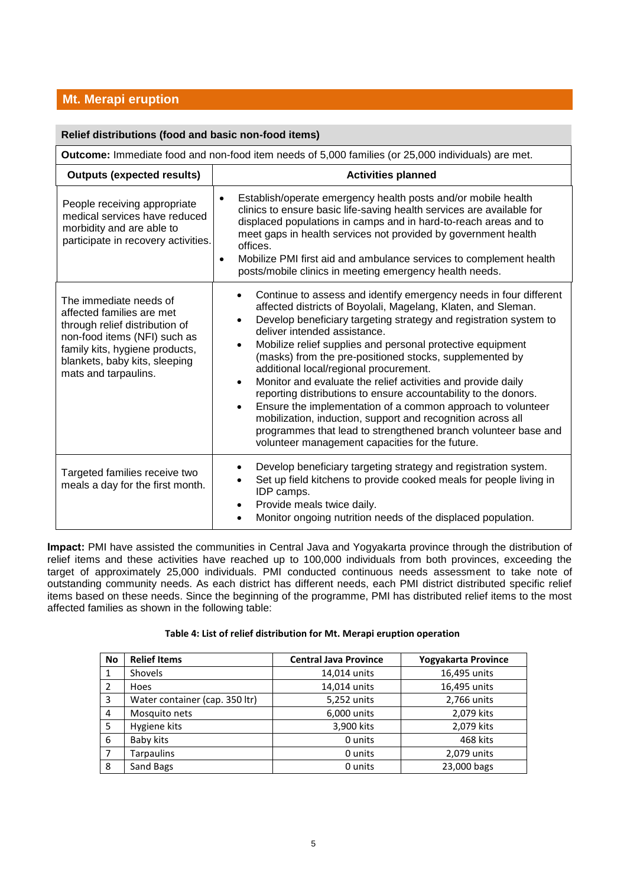# **Mt. Merapi eruption**

| Relief distributions (food and basic non-food items)                                                                                                                                                             |                                                                                                                                                                                                                                                                                                                                                                                                                                                                                                                                                                                                                                                                                                                                                                                                                            |
|------------------------------------------------------------------------------------------------------------------------------------------------------------------------------------------------------------------|----------------------------------------------------------------------------------------------------------------------------------------------------------------------------------------------------------------------------------------------------------------------------------------------------------------------------------------------------------------------------------------------------------------------------------------------------------------------------------------------------------------------------------------------------------------------------------------------------------------------------------------------------------------------------------------------------------------------------------------------------------------------------------------------------------------------------|
| Outcome: Immediate food and non-food item needs of 5,000 families (or 25,000 individuals) are met.                                                                                                               |                                                                                                                                                                                                                                                                                                                                                                                                                                                                                                                                                                                                                                                                                                                                                                                                                            |
| <b>Outputs (expected results)</b>                                                                                                                                                                                | <b>Activities planned</b>                                                                                                                                                                                                                                                                                                                                                                                                                                                                                                                                                                                                                                                                                                                                                                                                  |
| People receiving appropriate<br>medical services have reduced<br>morbidity and are able to<br>participate in recovery activities.                                                                                | Establish/operate emergency health posts and/or mobile health<br>$\bullet$<br>clinics to ensure basic life-saving health services are available for<br>displaced populations in camps and in hard-to-reach areas and to<br>meet gaps in health services not provided by government health<br>offices.<br>Mobilize PMI first aid and ambulance services to complement health<br>$\bullet$<br>posts/mobile clinics in meeting emergency health needs.                                                                                                                                                                                                                                                                                                                                                                        |
| The immediate needs of<br>affected families are met<br>through relief distribution of<br>non-food items (NFI) such as<br>family kits, hygiene products,<br>blankets, baby kits, sleeping<br>mats and tarpaulins. | Continue to assess and identify emergency needs in four different<br>affected districts of Boyolali, Magelang, Klaten, and Sleman.<br>Develop beneficiary targeting strategy and registration system to<br>deliver intended assistance.<br>Mobilize relief supplies and personal protective equipment<br>$\bullet$<br>(masks) from the pre-positioned stocks, supplemented by<br>additional local/regional procurement.<br>Monitor and evaluate the relief activities and provide daily<br>$\bullet$<br>reporting distributions to ensure accountability to the donors.<br>Ensure the implementation of a common approach to volunteer<br>mobilization, induction, support and recognition across all<br>programmes that lead to strengthened branch volunteer base and<br>volunteer management capacities for the future. |
| Targeted families receive two<br>meals a day for the first month.                                                                                                                                                | Develop beneficiary targeting strategy and registration system.<br>Set up field kitchens to provide cooked meals for people living in<br>IDP camps.<br>Provide meals twice daily.<br>Monitor ongoing nutrition needs of the displaced population.                                                                                                                                                                                                                                                                                                                                                                                                                                                                                                                                                                          |

**Impact:** PMI have assisted the communities in Central Java and Yogyakarta province through the distribution of relief items and these activities have reached up to 100,000 individuals from both provinces, exceeding the target of approximately 25,000 individuals. PMI conducted continuous needs assessment to take note of outstanding community needs. As each district has different needs, each PMI district distributed specific relief items based on these needs. Since the beginning of the programme, PMI has distributed relief items to the most affected families as shown in the following table:

| Table 4: List of relief distribution for Mt. Merapi eruption operation |  |
|------------------------------------------------------------------------|--|
|------------------------------------------------------------------------|--|

| No             | <b>Relief Items</b>            | <b>Central Java Province</b> | Yogyakarta Province |
|----------------|--------------------------------|------------------------------|---------------------|
|                | <b>Shovels</b>                 | 14,014 units                 | 16,495 units        |
|                | Hoes                           | 14,014 units                 | 16,495 units        |
| 3              | Water container (cap. 350 ltr) | 5,252 units                  | 2,766 units         |
| 4              | Mosquito nets                  | 6,000 units                  | 2,079 kits          |
| 5              | Hygiene kits                   | 3,900 kits                   | 2,079 kits          |
| 6              | Baby kits                      | 0 units                      | 468 kits            |
| $\overline{ }$ | <b>Tarpaulins</b>              | 0 units                      | 2,079 units         |
| 8              | Sand Bags                      | 0 units                      | 23,000 bags         |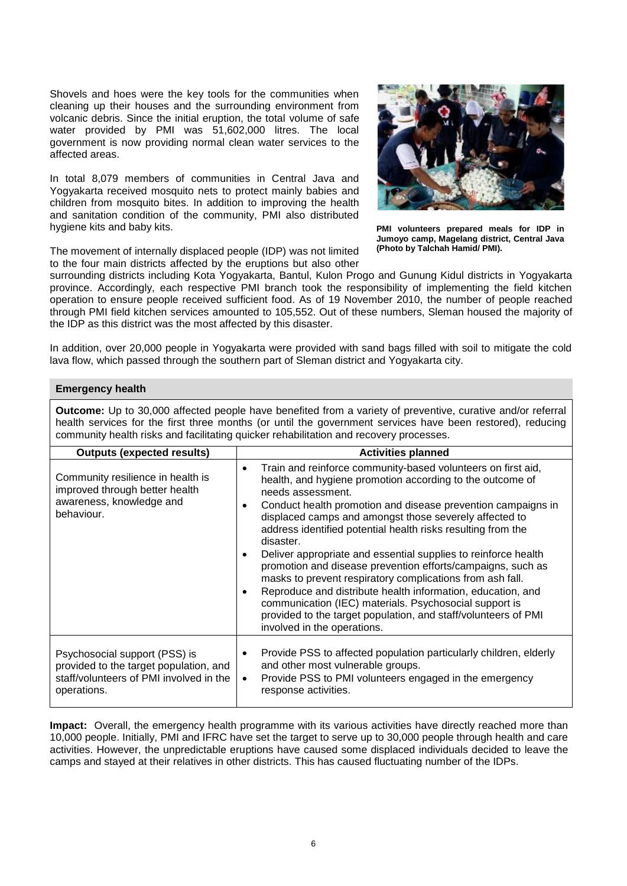Shovels and hoes were the key tools for the communities when cleaning up their houses and the surrounding environment from volcanic debris. Since the initial eruption, the total volume of safe water provided by PMI was 51,602,000 litres. The local government is now providing normal clean water services to the affected areas.

In total 8,079 members of communities in Central Java and Yogyakarta received mosquito nets to protect mainly babies and children from mosquito bites. In addition to improving the health and sanitation condition of the community, PMI also distributed hygiene kits and baby kits.

The movement of internally displaced people (IDP) was not limited to the four main districts affected by the eruptions but also other



**PMI volunteers prepared meals for IDP in Jumoyo camp, Magelang district, Central Java (Photo by Talchah Hamid/ PMI).**

surrounding districts including Kota Yogyakarta, Bantul, Kulon Progo and Gunung Kidul districts in Yogyakarta province. Accordingly, each respective PMI branch took the responsibility of implementing the field kitchen operation to ensure people received sufficient food. As of 19 November 2010, the number of people reached through PMI field kitchen services amounted to 105,552. Out of these numbers, Sleman housed the majority of the IDP as this district was the most affected by this disaster.

In addition, over 20,000 people in Yogyakarta were provided with sand bags filled with soil to mitigate the cold lava flow, which passed through the southern part of Sleman district and Yogyakarta city.

#### **Emergency health**

**Outcome:** Up to 30,000 affected people have benefited from a variety of preventive, curative and/or referral health services for the first three months (or until the government services have been restored), reducing community health risks and facilitating quicker rehabilitation and recovery processes.

| <b>Outputs (expected results)</b>                                                                                                 | <b>Activities planned</b>                                                                                                                                                                                                                                                                                                                                                                                                                                                                                                                                                                                                                                                                                                                                                                                                 |
|-----------------------------------------------------------------------------------------------------------------------------------|---------------------------------------------------------------------------------------------------------------------------------------------------------------------------------------------------------------------------------------------------------------------------------------------------------------------------------------------------------------------------------------------------------------------------------------------------------------------------------------------------------------------------------------------------------------------------------------------------------------------------------------------------------------------------------------------------------------------------------------------------------------------------------------------------------------------------|
| Community resilience in health is<br>improved through better health<br>awareness, knowledge and<br>behaviour.                     | Train and reinforce community-based volunteers on first aid,<br>$\bullet$<br>health, and hygiene promotion according to the outcome of<br>needs assessment.<br>Conduct health promotion and disease prevention campaigns in<br>٠<br>displaced camps and amongst those severely affected to<br>address identified potential health risks resulting from the<br>disaster.<br>Deliver appropriate and essential supplies to reinforce health<br>$\bullet$<br>promotion and disease prevention efforts/campaigns, such as<br>masks to prevent respiratory complications from ash fall.<br>Reproduce and distribute health information, education, and<br>$\bullet$<br>communication (IEC) materials. Psychosocial support is<br>provided to the target population, and staff/volunteers of PMI<br>involved in the operations. |
| Psychosocial support (PSS) is<br>provided to the target population, and<br>staff/volunteers of PMI involved in the<br>operations. | Provide PSS to affected population particularly children, elderly<br>$\bullet$<br>and other most vulnerable groups.<br>Provide PSS to PMI volunteers engaged in the emergency<br>$\bullet$<br>response activities.                                                                                                                                                                                                                                                                                                                                                                                                                                                                                                                                                                                                        |

**Impact:** Overall, the emergency health programme with its various activities have directly reached more than 10,000 people. Initially, PMI and IFRC have set the target to serve up to 30,000 people through health and care activities. However, the unpredictable eruptions have caused some displaced individuals decided to leave the camps and stayed at their relatives in other districts. This has caused fluctuating number of the IDPs.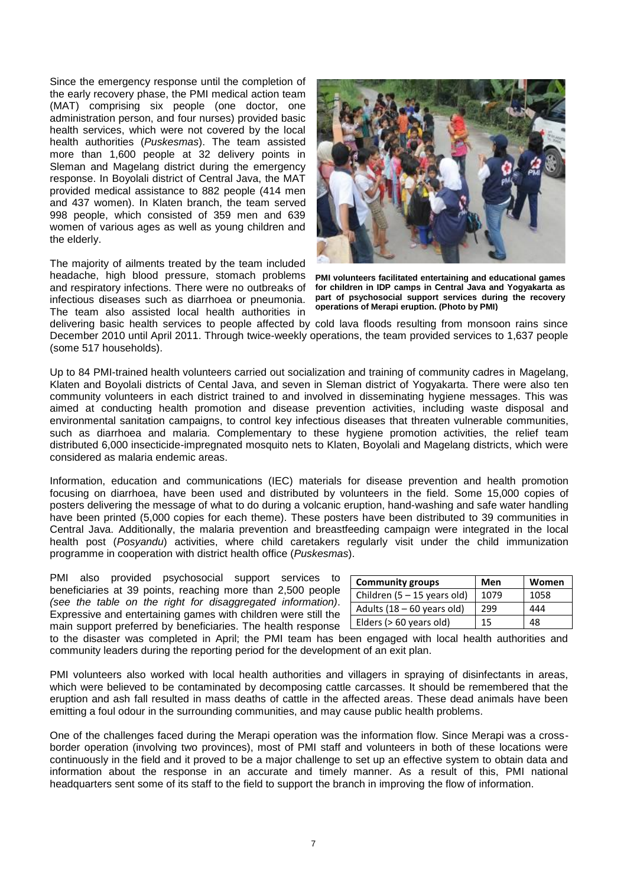Since the emergency response until the completion of the early recovery phase, the PMI medical action team (MAT) comprising six people (one doctor, one administration person, and four nurses) provided basic health services, which were not covered by the local health authorities (*Puskesmas*). The team assisted more than 1,600 people at 32 delivery points in Sleman and Magelang district during the emergency response. In Boyolali district of Central Java, the MAT provided medical assistance to 882 people (414 men and 437 women). In Klaten branch, the team served 998 people, which consisted of 359 men and 639 women of various ages as well as young children and the elderly.

The majority of ailments treated by the team included headache, high blood pressure, stomach problems and respiratory infections. There were no outbreaks of infectious diseases such as diarrhoea or pneumonia. The team also assisted local health authorities in



**PMI volunteers facilitated entertaining and educational games for children in IDP camps in Central Java and Yogyakarta as part of psychosocial support services during the recovery operations of Merapi eruption. (Photo by PMI)**

delivering basic health services to people affected by cold lava floods resulting from monsoon rains since December 2010 until April 2011. Through twice-weekly operations, the team provided services to 1,637 people (some 517 households).

Up to 84 PMI-trained health volunteers carried out socialization and training of community cadres in Magelang, Klaten and Boyolali districts of Cental Java, and seven in Sleman district of Yogyakarta. There were also ten community volunteers in each district trained to and involved in disseminating hygiene messages. This was aimed at conducting health promotion and disease prevention activities, including waste disposal and environmental sanitation campaigns, to control key infectious diseases that threaten vulnerable communities, such as diarrhoea and malaria. Complementary to these hygiene promotion activities, the relief team distributed 6,000 insecticide-impregnated mosquito nets to Klaten, Boyolali and Magelang districts, which were considered as malaria endemic areas.

Information, education and communications (IEC) materials for disease prevention and health promotion focusing on diarrhoea, have been used and distributed by volunteers in the field. Some 15,000 copies of posters delivering the message of what to do during a volcanic eruption, hand-washing and safe water handling have been printed (5,000 copies for each theme). These posters have been distributed to 39 communities in Central Java. Additionally, the malaria prevention and breastfeeding campaign were integrated in the local health post (*Posyandu*) activities, where child caretakers regularly visit under the child immunization programme in cooperation with district health office (*Puskesmas*).

PMI also provided psychosocial support services to beneficiaries at 39 points, reaching more than 2,500 people *(see the table on the right for disaggregated information)*. Expressive and entertaining games with children were still the main support preferred by beneficiaries. The health response

| <b>Community groups</b>       | Men  | Women |
|-------------------------------|------|-------|
| Children $(5 - 15$ years old) | 1079 | 1058  |
| Adults $(18 - 60$ years old)  | 299  | 444   |
| Elders (> 60 years old)       | 15   | 48    |

to the disaster was completed in April; the PMI team has been engaged with local health authorities and community leaders during the reporting period for the development of an exit plan.

PMI volunteers also worked with local health authorities and villagers in spraying of disinfectants in areas, which were believed to be contaminated by decomposing cattle carcasses. It should be remembered that the eruption and ash fall resulted in mass deaths of cattle in the affected areas. These dead animals have been emitting a foul odour in the surrounding communities, and may cause public health problems.

One of the challenges faced during the Merapi operation was the information flow. Since Merapi was a crossborder operation (involving two provinces), most of PMI staff and volunteers in both of these locations were continuously in the field and it proved to be a major challenge to set up an effective system to obtain data and information about the response in an accurate and timely manner. As a result of this, PMI national headquarters sent some of its staff to the field to support the branch in improving the flow of information.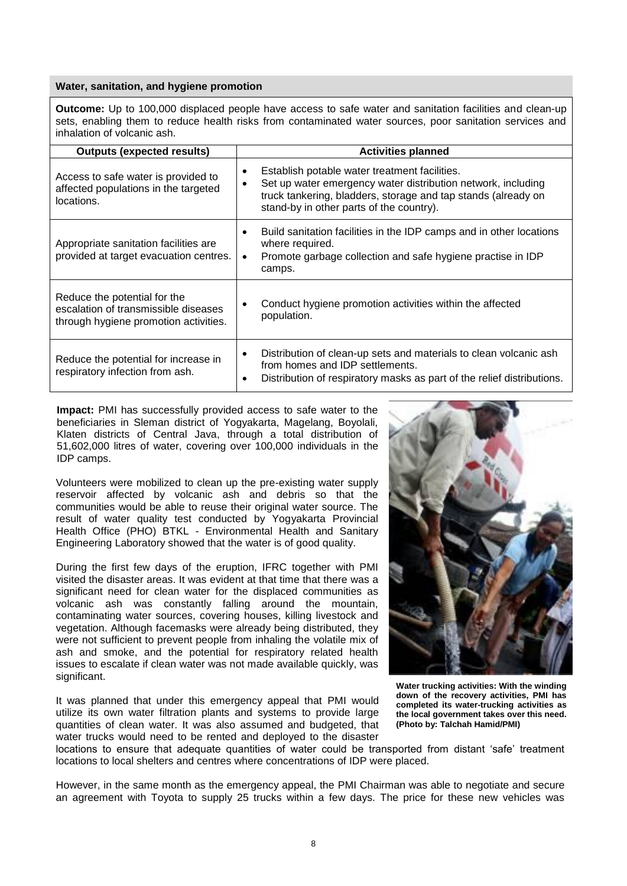#### **Water, sanitation, and hygiene promotion**

**Outcome:** Up to 100,000 displaced people have access to safe water and sanitation facilities and clean-up sets, enabling them to reduce health risks from contaminated water sources, poor sanitation services and inhalation of volcanic ash.

| <b>Outputs (expected results)</b>                                                                             | <b>Activities planned</b>                                                                                                                                                                                                  |
|---------------------------------------------------------------------------------------------------------------|----------------------------------------------------------------------------------------------------------------------------------------------------------------------------------------------------------------------------|
| Access to safe water is provided to<br>affected populations in the targeted<br>locations.                     | Establish potable water treatment facilities.<br>Set up water emergency water distribution network, including<br>truck tankering, bladders, storage and tap stands (already on<br>stand-by in other parts of the country). |
| Appropriate sanitation facilities are<br>provided at target evacuation centres.                               | Build sanitation facilities in the IDP camps and in other locations<br>$\bullet$<br>where required.<br>Promote garbage collection and safe hygiene practise in IDP<br>$\bullet$<br>camps.                                  |
| Reduce the potential for the<br>escalation of transmissible diseases<br>through hygiene promotion activities. | Conduct hygiene promotion activities within the affected<br>population.                                                                                                                                                    |
| Reduce the potential for increase in<br>respiratory infection from ash.                                       | Distribution of clean-up sets and materials to clean volcanic ash<br>from homes and IDP settlements.<br>Distribution of respiratory masks as part of the relief distributions.                                             |

**Impact:** PMI has successfully provided access to safe water to the beneficiaries in Sleman district of Yogyakarta, Magelang, Boyolali, Klaten districts of Central Java, through a total distribution of 51,602,000 litres of water, covering over 100,000 individuals in the IDP camps.

Volunteers were mobilized to clean up the pre-existing water supply reservoir affected by volcanic ash and debris so that the communities would be able to reuse their original water source. The result of water quality test conducted by Yogyakarta Provincial Health Office (PHO) BTKL - Environmental Health and Sanitary Engineering Laboratory showed that the water is of good quality.

During the first few days of the eruption, IFRC together with PMI visited the disaster areas. It was evident at that time that there was a significant need for clean water for the displaced communities as volcanic ash was constantly falling around the mountain, contaminating water sources, covering houses, killing livestock and vegetation. Although facemasks were already being distributed, they were not sufficient to prevent people from inhaling the volatile mix of ash and smoke, and the potential for respiratory related health issues to escalate if clean water was not made available quickly, was significant.

It was planned that under this emergency appeal that PMI would utilize its own water filtration plants and systems to provide large quantities of clean water. It was also assumed and budgeted, that water trucks would need to be rented and deployed to the disaster



**Water trucking activities: With the winding down of the recovery activities, PMI has completed its water-trucking activities as the local government takes over this need. (Photo by: Talchah Hamid/PMI)**

locations to ensure that adequate quantities of water could be transported from distant 'safe' treatment locations to local shelters and centres where concentrations of IDP were placed.

However, in the same month as the emergency appeal, the PMI Chairman was able to negotiate and secure an agreement with Toyota to supply 25 trucks within a few days. The price for these new vehicles was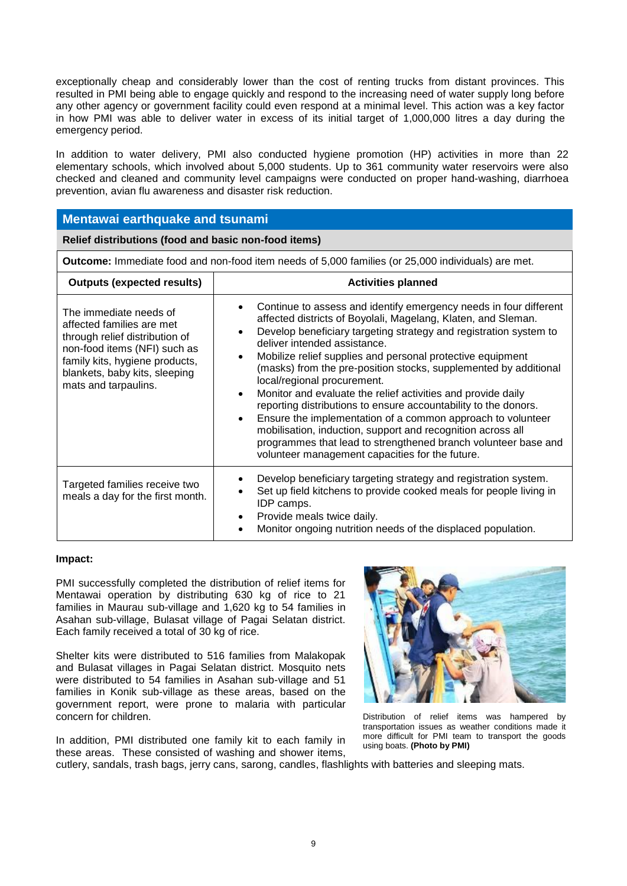exceptionally cheap and considerably lower than the cost of renting trucks from distant provinces. This resulted in PMI being able to engage quickly and respond to the increasing need of water supply long before any other agency or government facility could even respond at a minimal level. This action was a key factor in how PMI was able to deliver water in excess of its initial target of 1,000,000 litres a day during the emergency period.

In addition to water delivery, PMI also conducted hygiene promotion (HP) activities in more than 22 elementary schools, which involved about 5,000 students. Up to 361 community water reservoirs were also checked and cleaned and community level campaigns were conducted on proper hand-washing, diarrhoea prevention, avian flu awareness and disaster risk reduction.

#### **Mentawai earthquake and tsunami**

**Relief distributions (food and basic non-food items)** 

**Outcome:** Immediate food and non-food item needs of 5,000 families (or 25,000 individuals) are met.

| <b>Outputs (expected results)</b>                                                                                                                                                                                | <b>Activities planned</b>                                                                                                                                                                                                                                                                                                                                                                                                                                                                                                                                                                                                                                                                                                                                                                                                                                       |
|------------------------------------------------------------------------------------------------------------------------------------------------------------------------------------------------------------------|-----------------------------------------------------------------------------------------------------------------------------------------------------------------------------------------------------------------------------------------------------------------------------------------------------------------------------------------------------------------------------------------------------------------------------------------------------------------------------------------------------------------------------------------------------------------------------------------------------------------------------------------------------------------------------------------------------------------------------------------------------------------------------------------------------------------------------------------------------------------|
| The immediate needs of<br>affected families are met<br>through relief distribution of<br>non-food items (NFI) such as<br>family kits, hygiene products,<br>blankets, baby kits, sleeping<br>mats and tarpaulins. | Continue to assess and identify emergency needs in four different<br>$\bullet$<br>affected districts of Boyolali, Magelang, Klaten, and Sleman.<br>Develop beneficiary targeting strategy and registration system to<br>$\bullet$<br>deliver intended assistance.<br>Mobilize relief supplies and personal protective equipment<br>$\bullet$<br>(masks) from the pre-position stocks, supplemented by additional<br>local/regional procurement.<br>Monitor and evaluate the relief activities and provide daily<br>$\bullet$<br>reporting distributions to ensure accountability to the donors.<br>Ensure the implementation of a common approach to volunteer<br>$\bullet$<br>mobilisation, induction, support and recognition across all<br>programmes that lead to strengthened branch volunteer base and<br>volunteer management capacities for the future. |
| Targeted families receive two<br>meals a day for the first month.                                                                                                                                                | Develop beneficiary targeting strategy and registration system.<br>Set up field kitchens to provide cooked meals for people living in<br>IDP camps.<br>Provide meals twice daily.<br>$\bullet$<br>Monitor ongoing nutrition needs of the displaced population.                                                                                                                                                                                                                                                                                                                                                                                                                                                                                                                                                                                                  |

#### **Impact:**

PMI successfully completed the distribution of relief items for Mentawai operation by distributing 630 kg of rice to 21 families in Maurau sub-village and 1,620 kg to 54 families in Asahan sub-village, Bulasat village of Pagai Selatan district. Each family received a total of 30 kg of rice.

Shelter kits were distributed to 516 families from Malakopak and Bulasat villages in Pagai Selatan district. Mosquito nets were distributed to 54 families in Asahan sub-village and 51 families in Konik sub-village as these areas, based on the government report, were prone to malaria with particular concern for children.

In addition, PMI distributed one family kit to each family in these areas. These consisted of washing and shower items,



Distribution of relief items was hampered by transportation issues as weather conditions made it more difficult for PMI team to transport the goods using boats. **(Photo by PMI)**

cutlery, sandals, trash bags, jerry cans, sarong, candles, flashlights with batteries and sleeping mats.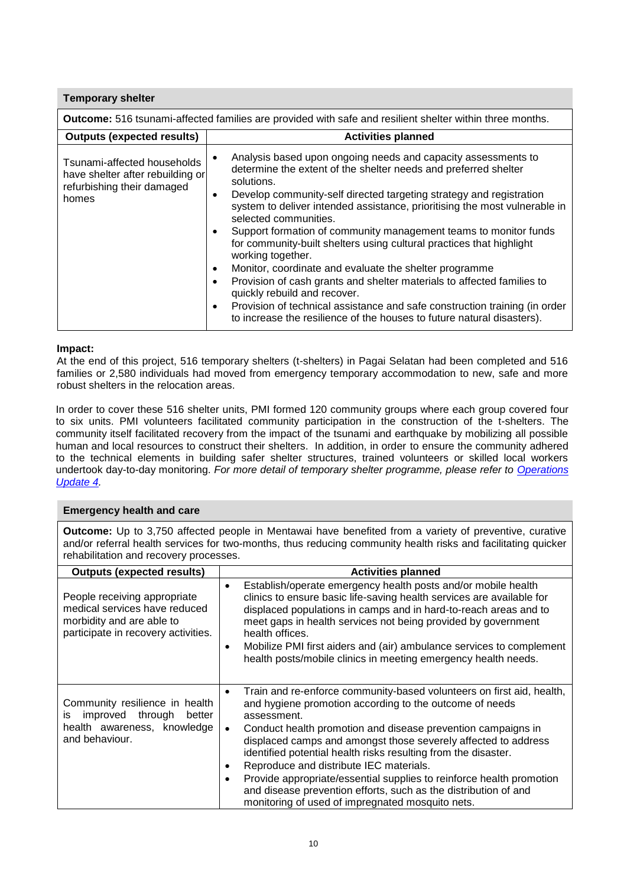| <b>Temporary shelter</b>                                                                               |                                                                                                                                                                                                                                                                                                                                                                                                                                                                                                                                                                                                                                                                                                                                                                                                                           |  |  |
|--------------------------------------------------------------------------------------------------------|---------------------------------------------------------------------------------------------------------------------------------------------------------------------------------------------------------------------------------------------------------------------------------------------------------------------------------------------------------------------------------------------------------------------------------------------------------------------------------------------------------------------------------------------------------------------------------------------------------------------------------------------------------------------------------------------------------------------------------------------------------------------------------------------------------------------------|--|--|
|                                                                                                        | Outcome: 516 tsunami-affected families are provided with safe and resilient shelter within three months.                                                                                                                                                                                                                                                                                                                                                                                                                                                                                                                                                                                                                                                                                                                  |  |  |
| <b>Outputs (expected results)</b>                                                                      | <b>Activities planned</b>                                                                                                                                                                                                                                                                                                                                                                                                                                                                                                                                                                                                                                                                                                                                                                                                 |  |  |
| Tsunami-affected households<br>have shelter after rebuilding or<br>refurbishing their damaged<br>homes | Analysis based upon ongoing needs and capacity assessments to<br>determine the extent of the shelter needs and preferred shelter<br>solutions.<br>Develop community-self directed targeting strategy and registration<br>system to deliver intended assistance, prioritising the most vulnerable in<br>selected communities.<br>Support formation of community management teams to monitor funds<br>for community-built shelters using cultural practices that highlight<br>working together.<br>Monitor, coordinate and evaluate the shelter programme<br>Provision of cash grants and shelter materials to affected families to<br>quickly rebuild and recover.<br>Provision of technical assistance and safe construction training (in order<br>to increase the resilience of the houses to future natural disasters). |  |  |

#### **Impact:**

At the end of this project, 516 temporary shelters (t-shelters) in Pagai Selatan had been completed and 516 families or 2,580 individuals had moved from emergency temporary accommodation to new, safe and more robust shelters in the relocation areas.

In order to cover these 516 shelter units, PMI formed 120 community groups where each group covered four to six units. PMI volunteers facilitated community participation in the construction of the t-shelters. The community itself facilitated recovery from the impact of the tsunami and earthquake by mobilizing all possible human and local resources to construct their shelters. In addition, in order to ensure the community adhered to the technical elements in building safer shelter structures, trained volunteers or skilled local workers undertook day-to-day monitoring. *For more detail of temporary shelter programme, please refer to [Operations](http://www.ifrc.org/docs/appeals/10/MDRID00604.pdf)  [Update 4.](http://www.ifrc.org/docs/appeals/10/MDRID00604.pdf)*

#### **Emergency health and care**

**Outcome:** Up to 3,750 affected people in Mentawai have benefited from a variety of preventive, curative and/or referral health services for two-months, thus reducing community health risks and facilitating quicker rehabilitation and recovery processes.

| <b>Outputs (expected results)</b>                                                                                                 | <b>Activities planned</b>                                                                                                                                                                                                                                                                                                                                                                                                                                                                                                                                                                                  |
|-----------------------------------------------------------------------------------------------------------------------------------|------------------------------------------------------------------------------------------------------------------------------------------------------------------------------------------------------------------------------------------------------------------------------------------------------------------------------------------------------------------------------------------------------------------------------------------------------------------------------------------------------------------------------------------------------------------------------------------------------------|
| People receiving appropriate<br>medical services have reduced<br>morbidity and are able to<br>participate in recovery activities. | Establish/operate emergency health posts and/or mobile health<br>$\bullet$<br>clinics to ensure basic life-saving health services are available for<br>displaced populations in camps and in hard-to-reach areas and to<br>meet gaps in health services not being provided by government<br>health offices.<br>Mobilize PMI first aiders and (air) ambulance services to complement<br>٠<br>health posts/mobile clinics in meeting emergency health needs.                                                                                                                                                 |
| Community resilience in health<br>improved<br>through<br>better<br>İS<br>health awareness, knowledge<br>and behaviour.            | Train and re-enforce community-based volunteers on first aid, health,<br>$\bullet$<br>and hygiene promotion according to the outcome of needs<br>assessment.<br>Conduct health promotion and disease prevention campaigns in<br>displaced camps and amongst those severely affected to address<br>identified potential health risks resulting from the disaster.<br>Reproduce and distribute IEC materials.<br>Provide appropriate/essential supplies to reinforce health promotion<br>and disease prevention efforts, such as the distribution of and<br>monitoring of used of impregnated mosquito nets. |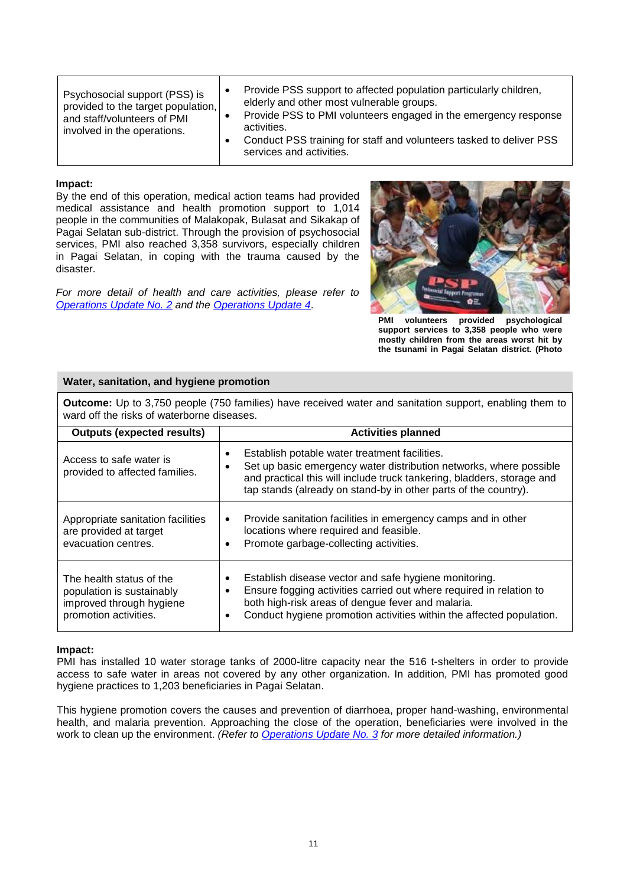| Psychosocial support (PSS) is<br>provided to the target population,<br>and staff/volunteers of PMI<br>involved in the operations. |  | Provide PSS support to affected population particularly children,<br>elderly and other most vulnerable groups.<br>Provide PSS to PMI volunteers engaged in the emergency response<br>activities.<br>Conduct PSS training for staff and volunteers tasked to deliver PSS<br>services and activities. |
|-----------------------------------------------------------------------------------------------------------------------------------|--|-----------------------------------------------------------------------------------------------------------------------------------------------------------------------------------------------------------------------------------------------------------------------------------------------------|
|-----------------------------------------------------------------------------------------------------------------------------------|--|-----------------------------------------------------------------------------------------------------------------------------------------------------------------------------------------------------------------------------------------------------------------------------------------------------|

#### **Impact:**

By the end of this operation, medical action teams had provided medical assistance and health promotion support to 1,014 people in the communities of Malakopak, Bulasat and Sikakap of Pagai Selatan sub-district. Through the provision of psychosocial services, PMI also reached 3,358 survivors, especially children in Pagai Selatan, in coping with the trauma caused by the disaster.

*For more detail of health and care activities, please refer to [Operations Update No. 2](http://www.ifrc.org/docs/appeals/10/MDRID006_OU2.pdf) and the [Operations Update 4](http://www.ifrc.org/docs/appeals/10/MDRID00604.pdf)*.



**PMI volunteers provided psychological support services to 3,358 people who were mostly children from the areas worst hit by the tsunami in Pagai Selatan district. (Photo** 

#### **Water, sanitation, and hygiene promotion**

| <b>Outputs (expected results)</b>                                                                          | <b>Activities planned</b>                                                                                                                                                                                                                                                |  |  |  |  |
|------------------------------------------------------------------------------------------------------------|--------------------------------------------------------------------------------------------------------------------------------------------------------------------------------------------------------------------------------------------------------------------------|--|--|--|--|
| Access to safe water is<br>provided to affected families.                                                  | Establish potable water treatment facilities.<br>Set up basic emergency water distribution networks, where possible<br>and practical this will include truck tankering, bladders, storage and<br>tap stands (already on stand-by in other parts of the country).         |  |  |  |  |
| Appropriate sanitation facilities<br>are provided at target<br>evacuation centres.                         | Provide sanitation facilities in emergency camps and in other<br>$\bullet$<br>locations where required and feasible.<br>Promote garbage-collecting activities.                                                                                                           |  |  |  |  |
| The health status of the<br>population is sustainably<br>improved through hygiene<br>promotion activities. | Establish disease vector and safe hygiene monitoring.<br>٠<br>Ensure fogging activities carried out where required in relation to<br>٠<br>both high-risk areas of dengue fever and malaria.<br>Conduct hygiene promotion activities within the affected population.<br>٠ |  |  |  |  |

**Outcome:** Up to 3,750 people (750 families) have received water and sanitation support, enabling them to ward off the risks of waterborne diseases.

#### **Impact:**

PMI has installed 10 water storage tanks of 2000-litre capacity near the 516 t-shelters in order to provide access to safe water in areas not covered by any other organization. In addition, PMI has promoted good hygiene practices to 1,203 beneficiaries in Pagai Selatan.

This hygiene promotion covers the causes and prevention of diarrhoea, proper hand-washing, environmental health, and malaria prevention. Approaching the close of the operation, beneficiaries were involved in the work to clean up the environment. *(Refer to [Operations Update No. 3](http://www.ifrc.org/docs/appeals/10/MDRID00603.pdf) for more detailed information.)*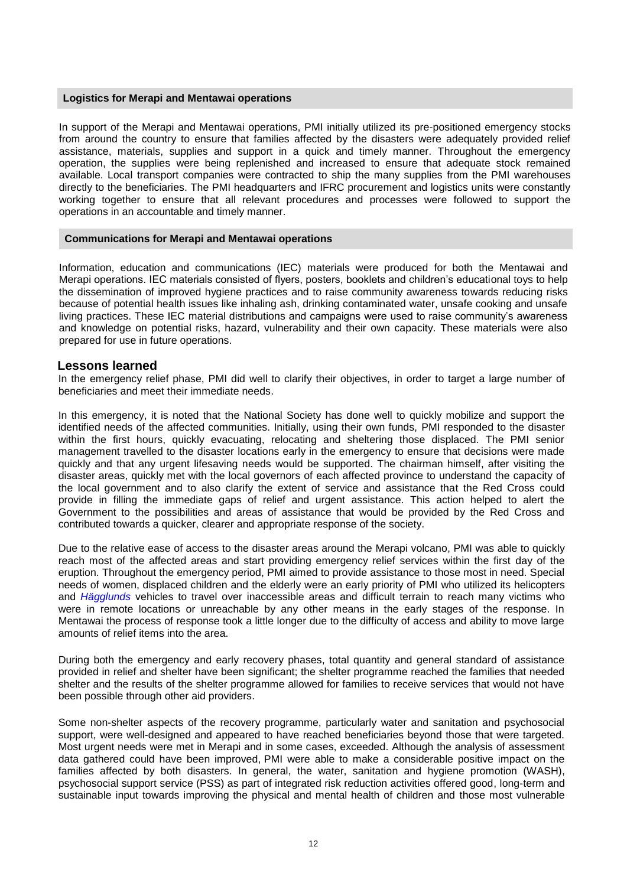#### **Logistics for Merapi and Mentawai operations**

In support of the Merapi and Mentawai operations, PMI initially utilized its pre-positioned emergency stocks from around the country to ensure that families affected by the disasters were adequately provided relief assistance, materials, supplies and support in a quick and timely manner. Throughout the emergency operation, the supplies were being replenished and increased to ensure that adequate stock remained available. Local transport companies were contracted to ship the many supplies from the PMI warehouses directly to the beneficiaries. The PMI headquarters and IFRC procurement and logistics units were constantly working together to ensure that all relevant procedures and processes were followed to support the operations in an accountable and timely manner.

#### **Communications for Merapi and Mentawai operations**

Information, education and communications (IEC) materials were produced for both the Mentawai and Merapi operations. IEC materials consisted of flyers, posters, booklets and children's educational toys to help the dissemination of improved hygiene practices and to raise community awareness towards reducing risks because of potential health issues like inhaling ash, drinking contaminated water, unsafe cooking and unsafe living practices. These IEC material distributions and campaigns were used to raise community's awareness and knowledge on potential risks, hazard, vulnerability and their own capacity. These materials were also prepared for use in future operations.

#### **Lessons learned**

In the emergency relief phase, PMI did well to clarify their objectives, in order to target a large number of beneficiaries and meet their immediate needs.

In this emergency, it is noted that the National Society has done well to quickly mobilize and support the identified needs of the affected communities. Initially, using their own funds, PMI responded to the disaster within the first hours, quickly evacuating, relocating and sheltering those displaced. The PMI senior management travelled to the disaster locations early in the emergency to ensure that decisions were made quickly and that any urgent lifesaving needs would be supported. The chairman himself, after visiting the disaster areas, quickly met with the local governors of each affected province to understand the capacity of the local government and to also clarify the extent of service and assistance that the Red Cross could provide in filling the immediate gaps of relief and urgent assistance. This action helped to alert the Government to the possibilities and areas of assistance that would be provided by the Red Cross and contributed towards a quicker, clearer and appropriate response of the society.

Due to the relative ease of access to the disaster areas around the Merapi volcano, PMI was able to quickly reach most of the affected areas and start providing emergency relief services within the first day of the eruption. Throughout the emergency period, PMI aimed to provide assistance to those most in need. Special needs of women, displaced children and the elderly were an early priority of PMI who utilized its helicopters and *[Hägglunds](http://www.pmi.or.id/eng/publication/?act=detail&p_id=444)* vehicles to travel over inaccessible areas and difficult terrain to reach many victims who were in remote locations or unreachable by any other means in the early stages of the response. In Mentawai the process of response took a little longer due to the difficulty of access and ability to move large amounts of relief items into the area.

During both the emergency and early recovery phases, total quantity and general standard of assistance provided in relief and shelter have been significant; the shelter programme reached the families that needed shelter and the results of the shelter programme allowed for families to receive services that would not have been possible through other aid providers.

Some non-shelter aspects of the recovery programme, particularly water and sanitation and psychosocial support, were well-designed and appeared to have reached beneficiaries beyond those that were targeted. Most urgent needs were met in Merapi and in some cases, exceeded. Although the analysis of assessment data gathered could have been improved, PMI were able to make a considerable positive impact on the families affected by both disasters. In general, the water, sanitation and hygiene promotion (WASH), psychosocial support service (PSS) as part of integrated risk reduction activities offered good, long-term and sustainable input towards improving the physical and mental health of children and those most vulnerable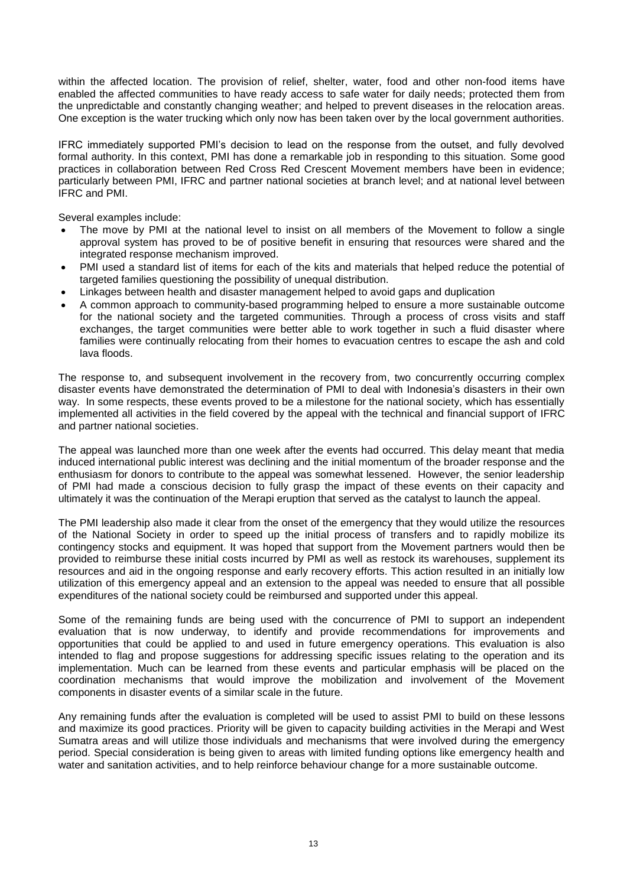within the affected location. The provision of relief, shelter, water, food and other non-food items have enabled the affected communities to have ready access to safe water for daily needs; protected them from the unpredictable and constantly changing weather; and helped to prevent diseases in the relocation areas. One exception is the water trucking which only now has been taken over by the local government authorities.

IFRC immediately supported PMI's decision to lead on the response from the outset, and fully devolved formal authority. In this context, PMI has done a remarkable job in responding to this situation. Some good practices in collaboration between Red Cross Red Crescent Movement members have been in evidence; particularly between PMI, IFRC and partner national societies at branch level; and at national level between IFRC and PMI.

Several examples include:

- The move by PMI at the national level to insist on all members of the Movement to follow a single approval system has proved to be of positive benefit in ensuring that resources were shared and the integrated response mechanism improved.
- PMI used a standard list of items for each of the kits and materials that helped reduce the potential of targeted families questioning the possibility of unequal distribution.
- Linkages between health and disaster management helped to avoid gaps and duplication
- A common approach to community-based programming helped to ensure a more sustainable outcome for the national society and the targeted communities. Through a process of cross visits and staff exchanges, the target communities were better able to work together in such a fluid disaster where families were continually relocating from their homes to evacuation centres to escape the ash and cold lava floods.

The response to, and subsequent involvement in the recovery from, two concurrently occurring complex disaster events have demonstrated the determination of PMI to deal with Indonesia's disasters in their own way. In some respects, these events proved to be a milestone for the national society, which has essentially implemented all activities in the field covered by the appeal with the technical and financial support of IFRC and partner national societies.

The appeal was launched more than one week after the events had occurred. This delay meant that media induced international public interest was declining and the initial momentum of the broader response and the enthusiasm for donors to contribute to the appeal was somewhat lessened. However, the senior leadership of PMI had made a conscious decision to fully grasp the impact of these events on their capacity and ultimately it was the continuation of the Merapi eruption that served as the catalyst to launch the appeal.

The PMI leadership also made it clear from the onset of the emergency that they would utilize the resources of the National Society in order to speed up the initial process of transfers and to rapidly mobilize its contingency stocks and equipment. It was hoped that support from the Movement partners would then be provided to reimburse these initial costs incurred by PMI as well as restock its warehouses, supplement its resources and aid in the ongoing response and early recovery efforts. This action resulted in an initially low utilization of this emergency appeal and an extension to the appeal was needed to ensure that all possible expenditures of the national society could be reimbursed and supported under this appeal.

Some of the remaining funds are being used with the concurrence of PMI to support an independent evaluation that is now underway, to identify and provide recommendations for improvements and opportunities that could be applied to and used in future emergency operations. This evaluation is also intended to flag and propose suggestions for addressing specific issues relating to the operation and its implementation. Much can be learned from these events and particular emphasis will be placed on the coordination mechanisms that would improve the mobilization and involvement of the Movement components in disaster events of a similar scale in the future.

Any remaining funds after the evaluation is completed will be used to assist PMI to build on these lessons and maximize its good practices. Priority will be given to capacity building activities in the Merapi and West Sumatra areas and will utilize those individuals and mechanisms that were involved during the emergency period. Special consideration is being given to areas with limited funding options like emergency health and water and sanitation activities, and to help reinforce behaviour change for a more sustainable outcome.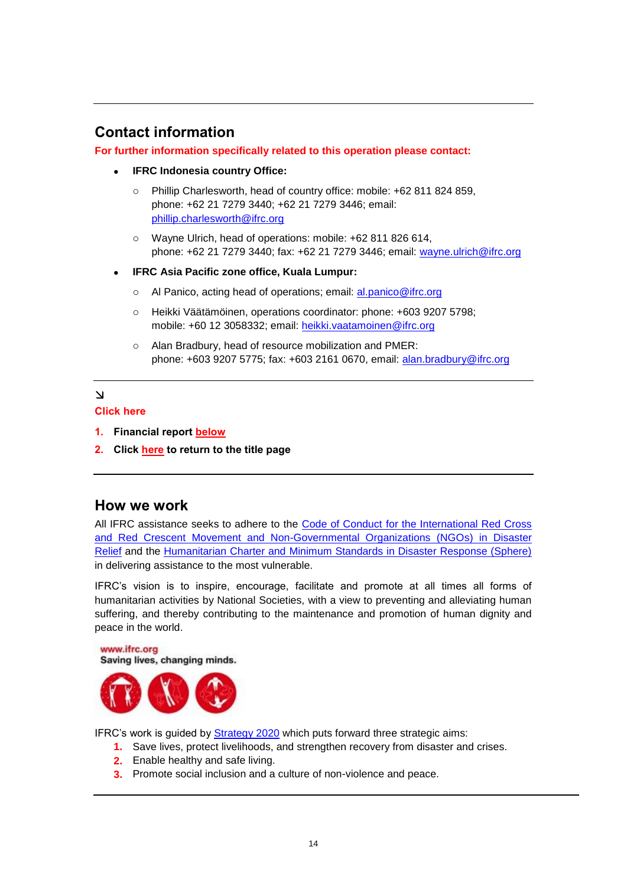# <span id="page-13-0"></span>**Contact information**

#### **For further information specifically related to this operation please contact:**

- **IFRC Indonesia country Office:**
	- o Phillip Charlesworth, head of country office: mobile: +62 811 824 859, phone: +62 21 7279 3440; +62 21 7279 3446; email: [phillip.charlesworth@ifrc.org](mailto:phillip.charlesworth@ifrc.org)
	- o Wayne Ulrich, head of operations: mobile: +62 811 826 614, phone: +62 21 7279 3440; fax: +62 21 7279 3446; email: [wayne.ulrich@ifrc.org](mailto:wayne.ulrich@ifrc.org)
- **IFRC Asia Pacific zone office, Kuala Lumpur:**
	- o Al Panico, acting head of operations; email: [al.panico@ifrc.org](mailto:al.panico@ifrc.org)
	- o Heikki Väätämöinen, operations coordinator: phone: +603 9207 5798; mobile: +60 12 3058332; email: [heikki.vaatamoinen@ifrc.org](mailto:heikki.vaatamoinen@ifrc.org)
	- o Alan Bradbury, head of resource mobilization and PMER: phone: +603 9207 5775; fax: +603 2161 0670, email: [alan.bradbury@ifrc.org](mailto:alan.bradbury@ifrc.org)

### $\Delta$

#### **Click here**

- **1. Financial report [below](#page-14-0)**
- **2. Click [here](#page-0-0) to return to the title page**

## **How we work**

All IFRC assistance seeks to adhere to the [Code of Conduct for the International Red Cross](http://www.ifrc.org/en/publications-and-reports/code-of-conduct/)  [and Red Crescent Movement and Non-Governmental Organizations \(NGOs\) in Disaster](http://www.ifrc.org/en/publications-and-reports/code-of-conduct/)  [Relief](http://www.ifrc.org/en/publications-and-reports/code-of-conduct/) and the [Humanitarian Charter and Minimum Standards in Disaster Response \(Sphere\)](http://www.sphereproject.org/) in delivering assistance to the most vulnerable.

IFRC's vision is to inspire, encourage, facilitate and promote at all times all forms of humanitarian activities by National Societies, with a view to preventing and alleviating human suffering, and thereby contributing to the maintenance and promotion of human dignity and peace in the world.



IFRC's work is guided by [Strategy 2020](http://www.ifrc.org/en/who-we-are/vision-and-mission/strategy-2020/) which puts forward three strategic aims:

- **1.** Save lives, protect livelihoods, and strengthen recovery from disaster and crises.
- **2.** Enable healthy and safe living.
- **3.** Promote social inclusion and a culture of non-violence and peace.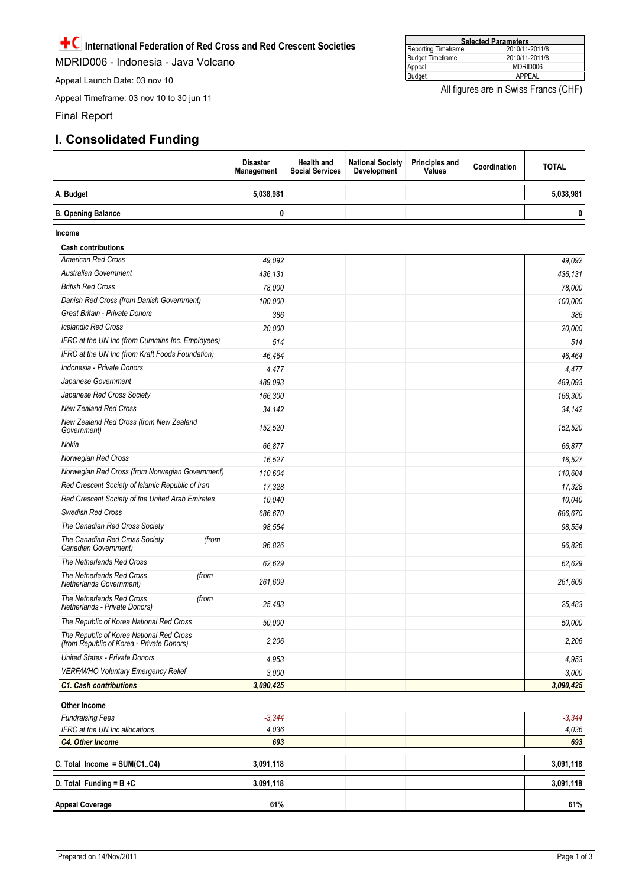<span id="page-14-0"></span>**International Federation of Red Cross and Red Crescent Societies** 

MDRID006 - Indonesia - Java Volcano

Appeal Launch Date: 03 nov 10

Appeal Timeframe: 03 nov 10 to 30 jun 11

Final Report

Ì þ

## **I. Consolidated Funding**

|                                                                                       | <b>Disaster</b><br>Management | <b>Health and</b><br><b>Social Services</b> | <b>National Society</b><br><b>Development</b> | <b>Principles and</b><br><b>Values</b> | Coordination | <b>TOTAL</b> |
|---------------------------------------------------------------------------------------|-------------------------------|---------------------------------------------|-----------------------------------------------|----------------------------------------|--------------|--------------|
| A. Budget                                                                             | 5,038,981                     |                                             |                                               |                                        |              | 5,038,981    |
| <b>B. Opening Balance</b>                                                             | 0                             |                                             |                                               |                                        |              | 0            |
| Income                                                                                |                               |                                             |                                               |                                        |              |              |
| <b>Cash contributions</b>                                                             |                               |                                             |                                               |                                        |              |              |
| <b>American Red Cross</b>                                                             | 49,092                        |                                             |                                               |                                        |              | 49.092       |
| <b>Australian Government</b>                                                          | 436,131                       |                                             |                                               |                                        |              | 436,131      |
| <b>British Red Cross</b>                                                              | 78,000                        |                                             |                                               |                                        |              | 78,000       |
| Danish Red Cross (from Danish Government)                                             | 100,000                       |                                             |                                               |                                        |              | 100,000      |
| Great Britain - Private Donors                                                        | 386                           |                                             |                                               |                                        |              | 386          |
| <b>Icelandic Red Cross</b>                                                            | 20,000                        |                                             |                                               |                                        |              | 20,000       |
| IFRC at the UN Inc (from Cummins Inc. Employees)                                      | 514                           |                                             |                                               |                                        |              | 514          |
| IFRC at the UN Inc (from Kraft Foods Foundation)                                      | 46,464                        |                                             |                                               |                                        |              | 46,464       |
| Indonesia - Private Donors                                                            | 4,477                         |                                             |                                               |                                        |              | 4,477        |
| Japanese Government                                                                   | 489,093                       |                                             |                                               |                                        |              | 489,093      |
| Japanese Red Cross Society                                                            | 166,300                       |                                             |                                               |                                        |              | 166,300      |
| <b>New Zealand Red Cross</b>                                                          | 34,142                        |                                             |                                               |                                        |              | 34,142       |
| New Zealand Red Cross (from New Zealand<br>Government)                                | 152,520                       |                                             |                                               |                                        |              | 152,520      |
| Nokia                                                                                 | 66,877                        |                                             |                                               |                                        |              | 66,877       |
| Norwegian Red Cross                                                                   | 16,527                        |                                             |                                               |                                        |              | 16,527       |
| Norwegian Red Cross (from Norwegian Government)                                       | 110,604                       |                                             |                                               |                                        |              | 110,604      |
| Red Crescent Society of Islamic Republic of Iran                                      | 17,328                        |                                             |                                               |                                        |              | 17,328       |
| Red Crescent Society of the United Arab Emirates                                      | 10,040                        |                                             |                                               |                                        |              | 10,040       |
| Swedish Red Cross                                                                     | 686,670                       |                                             |                                               |                                        |              | 686,670      |
| The Canadian Red Cross Society                                                        | 98,554                        |                                             |                                               |                                        |              | 98.554       |
| The Canadian Red Cross Society<br>(from<br>Canadian Government)                       | 96,826                        |                                             |                                               |                                        |              | 96,826       |
| The Netherlands Red Cross                                                             | 62,629                        |                                             |                                               |                                        |              | 62,629       |
| The Netherlands Red Cross<br>(from<br>Netherlands Government)                         | 261,609                       |                                             |                                               |                                        |              | 261,609      |
| The Netherlands Red Cross<br>(from<br>Netherlands - Private Donors)                   | 25,483                        |                                             |                                               |                                        |              | 25,483       |
| The Republic of Korea National Red Cross                                              | 50,000                        |                                             |                                               |                                        |              | 50,000       |
| The Republic of Korea National Red Cross<br>(from Republic of Korea - Private Donors) | 2,206                         |                                             |                                               |                                        |              | 2,206        |
| <b>United States - Private Donors</b>                                                 | 4,953                         |                                             |                                               |                                        |              | 4,953        |
| VERF/WHO Voluntary Emergency Relief                                                   | 3,000                         |                                             |                                               |                                        |              | 3,000        |
| <b>C1. Cash contributions</b>                                                         | 3,090,425                     |                                             |                                               |                                        |              | 3,090,425    |
| <b>Other Income</b>                                                                   |                               |                                             |                                               |                                        |              |              |
| <b>Fundraising Fees</b>                                                               | $-3,344$                      |                                             |                                               |                                        |              | $-3,344$     |
| IFRC at the UN Inc allocations                                                        | 4,036                         |                                             |                                               |                                        |              | 4,036        |
| <b>C4. Other Income</b>                                                               | 693                           |                                             |                                               |                                        |              | 693          |
| C. Total Income = SUM(C1C4)                                                           | 3,091,118                     |                                             |                                               |                                        |              | 3,091,118    |
| D. Total Funding = $B + C$                                                            | 3,091,118                     |                                             |                                               |                                        |              | 3,091,118    |
| Appeal Coverage                                                                       | 61%                           |                                             |                                               |                                        |              | 61%          |

All figures are in Swiss Francs (CHF)

T

ł,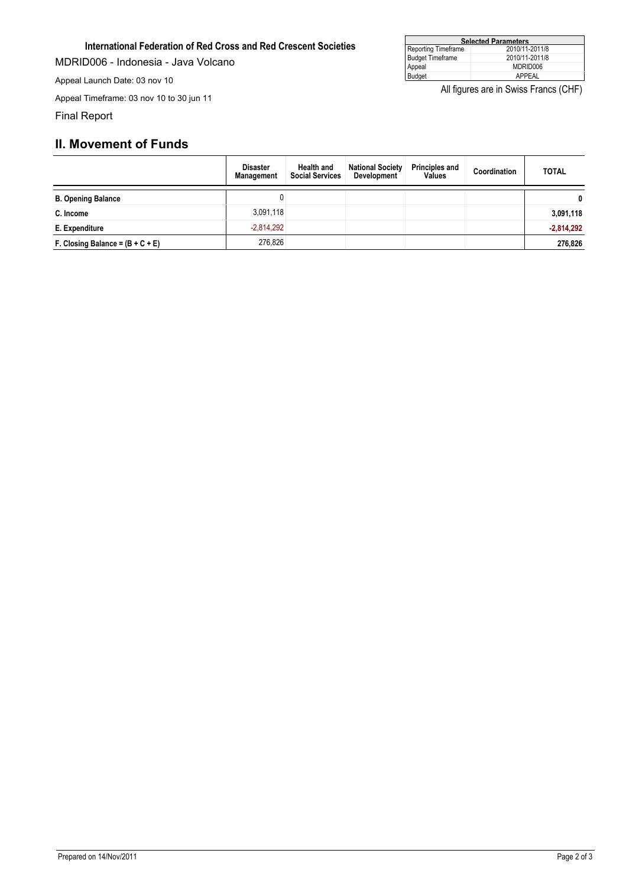#### **International Federation of Red Cross and Red Crescent Societies**

MDRID006 - Indonesia - Java Volcano

Appeal Launch Date: 03 nov 10

Appeal Timeframe: 03 nov 10 to 30 jun 11

Final Report

## **II. Movement of Funds**

|                                    | <b>Disaster</b><br><b>Management</b> | <b>Health and</b><br><b>Social Services</b> | <b>National Society</b><br>Development | <b>Principles and</b><br><b>Values</b> | Coordination | <b>TOTAL</b> |
|------------------------------------|--------------------------------------|---------------------------------------------|----------------------------------------|----------------------------------------|--------------|--------------|
| <b>B. Opening Balance</b>          |                                      |                                             |                                        |                                        |              | $\mathbf{0}$ |
| C. Income                          | 3,091,118                            |                                             |                                        |                                        |              | 3,091,118    |
| E. Expenditure                     | $-2.814.292$                         |                                             |                                        |                                        |              | $-2,814,292$ |
| F. Closing Balance = $(B + C + E)$ | 276.826                              |                                             |                                        |                                        |              | 276,826      |

| <b>Selected Parameters</b> |                |  |  |  |
|----------------------------|----------------|--|--|--|
| Reporting Timeframe        | 2010/11-2011/8 |  |  |  |
| Budget Timeframe           | 2010/11-2011/8 |  |  |  |
| Appeal                     | MDRID006       |  |  |  |
| Budget                     | APPFAL         |  |  |  |

All figures are in Swiss Francs (CHF)